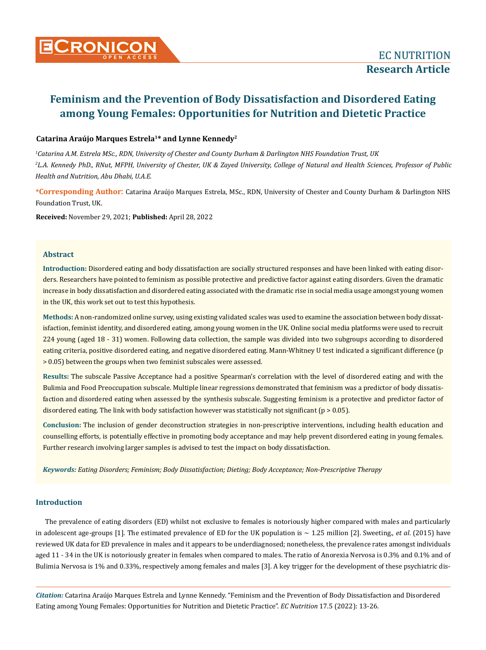

# **Catarina Araújo Marques Estrela1\* and Lynne Kennedy2**

*1 Catarina A.M. Estrela MSc., RDN, University of Chester and County Durham & Darlington NHS Foundation Trust, UK 2 L.A. Kennedy PhD., RNut, MFPH, University of Chester, UK & Zayed University, College of Natural and Health Sciences, Professor of Public Health and Nutrition, Abu Dhabi, U.A.E.*

**\*Corresponding Author**: Catarina Araújo Marques Estrela, MSc., RDN, University of Chester and County Durham & Darlington NHS Foundation Trust, UK.

**Received:** November 29, 2021; **Published:** April 28, 2022

### **Abstract**

**Introduction:** Disordered eating and body dissatisfaction are socially structured responses and have been linked with eating disorders. Researchers have pointed to feminism as possible protective and predictive factor against eating disorders. Given the dramatic increase in body dissatisfaction and disordered eating associated with the dramatic rise in social media usage amongst young women in the UK, this work set out to test this hypothesis.

**Methods:** A non-randomized online survey, using existing validated scales was used to examine the association between body dissatisfaction, feminist identity, and disordered eating, among young women in the UK. Online social media platforms were used to recruit 224 young (aged 18 - 31) women. Following data collection, the sample was divided into two subgroups according to disordered eating criteria, positive disordered eating, and negative disordered eating. Mann-Whitney U test indicated a significant difference (p > 0.05) between the groups when two feminist subscales were assessed.

**Results:** The subscale Passive Acceptance had a positive Spearman's correlation with the level of disordered eating and with the Bulimia and Food Preoccupation subscale. Multiple linear regressions demonstrated that feminism was a predictor of body dissatisfaction and disordered eating when assessed by the synthesis subscale. Suggesting feminism is a protective and predictor factor of disordered eating. The link with body satisfaction however was statistically not significant (p > 0.05).

**Conclusion:** The inclusion of gender deconstruction strategies in non-prescriptive interventions, including health education and counselling efforts, is potentially effective in promoting body acceptance and may help prevent disordered eating in young females. Further research involving larger samples is advised to test the impact on body dissatisfaction.

*Keywords: Eating Disorders; Feminism; Body Dissatisfaction; Dieting; Body Acceptance; Non-Prescriptive Therapy*

### **Introduction**

The prevalence of eating disorders (ED) whilst not exclusive to females is notoriously higher compared with males and particularly in adolescent age-groups [1]. The estimated prevalence of ED for the UK population is  $\sim 1.25$  million [2]. Sweeting., *et al.* (2015) have reviewed UK data for ED prevalence in males and it appears to be underdiagnosed; nonetheless, the prevalence rates amongst individuals aged 11 - 34 in the UK is notoriously greater in females when compared to males. The ratio of Anorexia Nervosa is 0.3% and 0.1% and of Bulimia Nervosa is 1% and 0.33%, respectively among females and males [3]. A key trigger for the development of these psychiatric dis-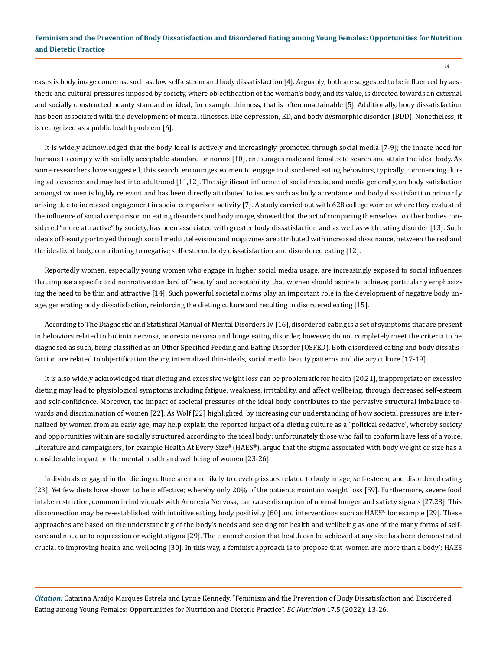14

eases is body image concerns, such as, low self-esteem and body dissatisfaction [4]. Arguably, both are suggested to be influenced by aesthetic and cultural pressures imposed by society, where objectification of the woman's body, and its value, is directed towards an external and socially constructed beauty standard or ideal, for example thinness, that is often unattainable [5]. Additionally, body dissatisfaction has been associated with the development of mental illnesses, like depression, ED, and body dysmorphic disorder (BDD). Nonetheless, it is recognized as a public health problem [6].

It is widely acknowledged that the body ideal is actively and increasingly promoted through social media [7-9]; the innate need for humans to comply with socially acceptable standard or norms [10], encourages male and females to search and attain the ideal body. As some researchers have suggested, this search, encourages women to engage in disordered eating behaviors, typically commencing during adolescence and may last into adulthood [11,12]. The significant influence of social media, and media generally, on body satisfaction amongst women is highly relevant and has been directly attributed to issues such as body acceptance and body dissatisfaction primarily arising due to increased engagement in social comparison activity [7]. A study carried out with 628 college women where they evaluated the influence of social comparison on eating disorders and body image, showed that the act of comparing themselves to other bodies considered "more attractive" by society, has been associated with greater body dissatisfaction and as well as with eating disorder [13]. Such ideals of beauty portrayed through social media, television and magazines are attributed with increased dissonance, between the real and the idealized body, contributing to negative self-esteem, body dissatisfaction and disordered eating [12].

Reportedly women, especially young women who engage in higher social media usage, are increasingly exposed to social influences that impose a specific and normative standard of 'beauty' and acceptability, that women should aspire to achieve; particularly emphasizing the need to be thin and attractive [14]. Such powerful societal norms play an important role in the development of negative body image, generating body dissatisfaction, reinforcing the dieting culture and resulting in disordered eating [15].

According to The Diagnostic and Statistical Manual of Mental Disorders IV [16], disordered eating is a set of symptoms that are present in behaviors related to bulimia nervosa, anorexia nervosa and binge eating disorder, however, do not completely meet the criteria to be diagnosed as such, being classified as an Other Specified Feeding and Eating Disorder (OSFED). Both disordered eating and body dissatisfaction are related to objectification theory, internalized thin-ideals, social media beauty patterns and dietary culture [17-19].

It is also widely acknowledged that dieting and excessive weight loss can be problematic for health [20,21], inappropriate or excessive dieting may lead to physiological symptoms including fatigue, weakness, irritability, and affect wellbeing, through decreased self-esteem and self-confidence. Moreover, the impact of societal pressures of the ideal body contributes to the pervasive structural imbalance towards and discrimination of women [22]. As Wolf [22] highlighted, by increasing our understanding of how societal pressures are internalized by women from an early age, may help explain the reported impact of a dieting culture as a "political sedative", whereby society and opportunities within are socially structured according to the ideal body; unfortunately those who fail to conform have less of a voice. Literature and campaigners, for example Health At Every Size® (HAES®), argue that the stigma associated with body weight or size has a considerable impact on the mental health and wellbeing of women [23-26].

Individuals engaged in the dieting culture are more likely to develop issues related to body image, self-esteem, and disordered eating [23]. Yet few diets have shown to be ineffective; whereby only 20% of the patients maintain weight loss [59]. Furthermore, severe food intake restriction, common in individuals with Anorexia Nervosa, can cause disruption of normal hunger and satiety signals [27,28]. This disconnection may be re-established with intuitive eating, body positivity [60] and interventions such as HAES® for example [29]. These approaches are based on the understanding of the body's needs and seeking for health and wellbeing as one of the many forms of selfcare and not due to oppression or weight stigma [29]. The comprehension that health can be achieved at any size has been demonstrated crucial to improving health and wellbeing [30]. In this way, a feminist approach is to propose that 'women are more than a body'; HAES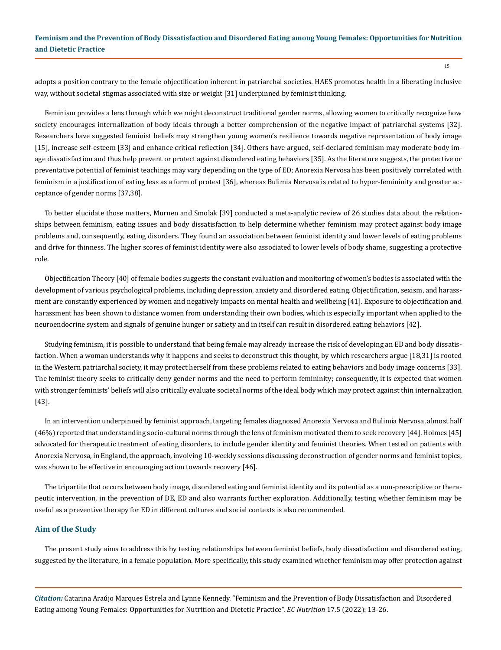adopts a position contrary to the female objectification inherent in patriarchal societies. HAES promotes health in a liberating inclusive way, without societal stigmas associated with size or weight [31] underpinned by feminist thinking.

Feminism provides a lens through which we might deconstruct traditional gender norms, allowing women to critically recognize how society encourages internalization of body ideals through a better comprehension of the negative impact of patriarchal systems [32]. Researchers have suggested feminist beliefs may strengthen young women's resilience towards negative representation of body image [15], increase self-esteem [33] and enhance critical reflection [34]. Others have argued, self-declared feminism may moderate body image dissatisfaction and thus help prevent or protect against disordered eating behaviors [35]. As the literature suggests, the protective or preventative potential of feminist teachings may vary depending on the type of ED; Anorexia Nervosa has been positively correlated with feminism in a justification of eating less as a form of protest [36], whereas Bulimia Nervosa is related to hyper-femininity and greater acceptance of gender norms [37,38].

To better elucidate those matters, Murnen and Smolak [39] conducted a meta-analytic review of 26 studies data about the relationships between feminism, eating issues and body dissatisfaction to help determine whether feminism may protect against body image problems and, consequently, eating disorders. They found an association between feminist identity and lower levels of eating problems and drive for thinness. The higher scores of feminist identity were also associated to lower levels of body shame, suggesting a protective role.

Objectification Theory [40] of female bodies suggests the constant evaluation and monitoring of women's bodies is associated with the development of various psychological problems, including depression, anxiety and disordered eating. Objectification, sexism, and harassment are constantly experienced by women and negatively impacts on mental health and wellbeing [41]. Exposure to objectification and harassment has been shown to distance women from understanding their own bodies, which is especially important when applied to the neuroendocrine system and signals of genuine hunger or satiety and in itself can result in disordered eating behaviors [42].

Studying feminism, it is possible to understand that being female may already increase the risk of developing an ED and body dissatisfaction. When a woman understands why it happens and seeks to deconstruct this thought, by which researchers argue [18,31] is rooted in the Western patriarchal society, it may protect herself from these problems related to eating behaviors and body image concerns [33]. The feminist theory seeks to critically deny gender norms and the need to perform femininity; consequently, it is expected that women with stronger feminists' beliefs will also critically evaluate societal norms of the ideal body which may protect against thin internalization [43].

In an intervention underpinned by feminist approach, targeting females diagnosed Anorexia Nervosa and Bulimia Nervosa, almost half (46%) reported that understanding socio-cultural norms through the lens of feminism motivated them to seek recovery [44]. Holmes [45] advocated for therapeutic treatment of eating disorders, to include gender identity and feminist theories. When tested on patients with Anorexia Nervosa, in England, the approach, involving 10-weekly sessions discussing deconstruction of gender norms and feminist topics, was shown to be effective in encouraging action towards recovery [46].

The tripartite that occurs between body image, disordered eating and feminist identity and its potential as a non-prescriptive or therapeutic intervention, in the prevention of DE, ED and also warrants further exploration. Additionally, testing whether feminism may be useful as a preventive therapy for ED in different cultures and social contexts is also recommended.

### **Aim of the Study**

The present study aims to address this by testing relationships between feminist beliefs, body dissatisfaction and disordered eating, suggested by the literature, in a female population. More specifically, this study examined whether feminism may offer protection against

*Citation:* Catarina Araújo Marques Estrela and Lynne Kennedy. "Feminism and the Prevention of Body Dissatisfaction and Disordered Eating among Young Females: Opportunities for Nutrition and Dietetic Practice". *EC Nutrition* 17.5 (2022): 13-26.

15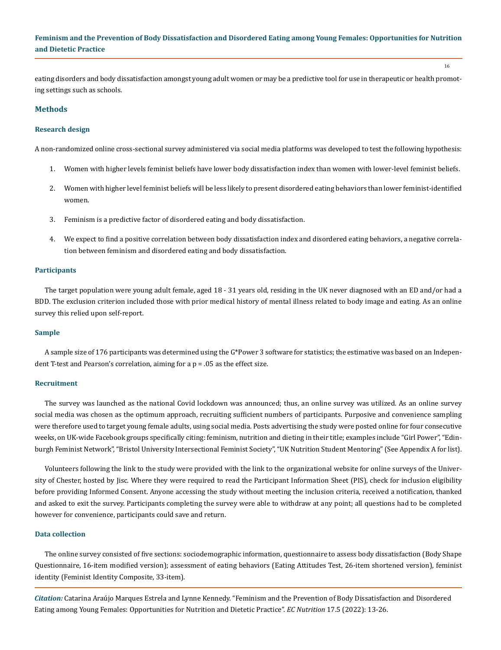eating disorders and body dissatisfaction amongst young adult women or may be a predictive tool for use in therapeutic or health promoting settings such as schools.

16

### **Methods**

#### **Research design**

A non-randomized online cross-sectional survey administered via social media platforms was developed to test the following hypothesis:

- 1. Women with higher levels feminist beliefs have lower body dissatisfaction index than women with lower-level feminist beliefs.
- 2. Women with higher level feminist beliefs will be less likely to present disordered eating behaviors than lower feminist-identified women.
- 3. Feminism is a predictive factor of disordered eating and body dissatisfaction.
- 4. We expect to find a positive correlation between body dissatisfaction index and disordered eating behaviors, a negative correlation between feminism and disordered eating and body dissatisfaction.

#### **Participants**

The target population were young adult female, aged 18 - 31 years old, residing in the UK never diagnosed with an ED and/or had a BDD. The exclusion criterion included those with prior medical history of mental illness related to body image and eating. As an online survey this relied upon self-report.

#### **Sample**

A sample size of 176 participants was determined using the G\*Power 3 software for statistics; the estimative was based on an Independent T-test and Pearson's correlation, aiming for a  $p = 0.05$  as the effect size.

### **Recruitment**

The survey was launched as the national Covid lockdown was announced; thus, an online survey was utilized. As an online survey social media was chosen as the optimum approach, recruiting sufficient numbers of participants. Purposive and convenience sampling were therefore used to target young female adults, using social media. Posts advertising the study were posted online for four consecutive weeks, on UK-wide Facebook groups specifically citing: feminism, nutrition and dieting in their title; examples include "Girl Power", "Edinburgh Feminist Network", "Bristol University Intersectional Feminist Society", "UK Nutrition Student Mentoring" (See Appendix A for list).

Volunteers following the link to the study were provided with the link to the organizational website for online surveys of the University of Chester, hosted by Jisc. Where they were required to read the Participant Information Sheet (PIS), check for inclusion eligibility before providing Informed Consent. Anyone accessing the study without meeting the inclusion criteria, received a notification, thanked and asked to exit the survey. Participants completing the survey were able to withdraw at any point; all questions had to be completed however for convenience, participants could save and return.

### **Data collection**

The online survey consisted of five sections: sociodemographic information, questionnaire to assess body dissatisfaction (Body Shape Questionnaire, 16-item modified version); assessment of eating behaviors (Eating Attitudes Test, 26-item shortened version), feminist identity (Feminist Identity Composite, 33-item).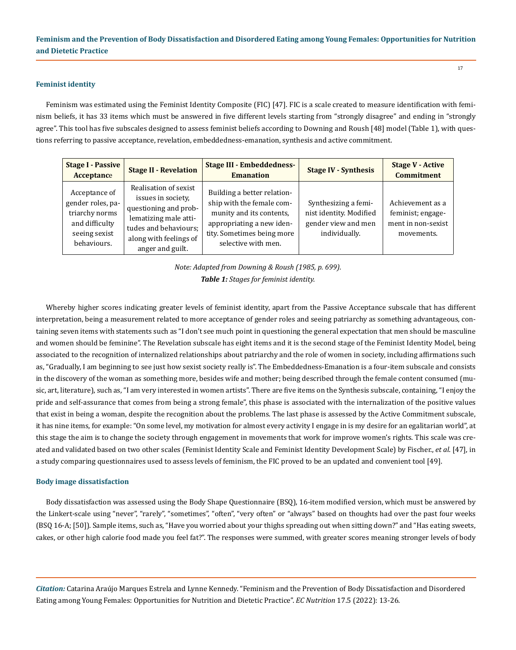#### **Feminist identity**

Feminism was estimated using the Feminist Identity Composite (FIC) [47]. FIC is a scale created to measure identification with feminism beliefs, it has 33 items which must be answered in five different levels starting from "strongly disagree" and ending in "strongly agree". This tool has five subscales designed to assess feminist beliefs according to Downing and Roush [48] model (Table 1), with questions referring to passive acceptance, revelation, embeddedness-emanation, synthesis and active commitment.

| <b>Stage I - Passive</b><br>Acceptance                                                                 | <b>Stage II - Revelation</b>                                                                                                                                         | <b>Stage III - Embeddedness-</b><br><b>Emanation</b>                                                                                                                   | <b>Stage IV - Synthesis</b>                                                             | <b>Stage V - Active</b><br><b>Commitment</b>                              |
|--------------------------------------------------------------------------------------------------------|----------------------------------------------------------------------------------------------------------------------------------------------------------------------|------------------------------------------------------------------------------------------------------------------------------------------------------------------------|-----------------------------------------------------------------------------------------|---------------------------------------------------------------------------|
| Acceptance of<br>gender roles, pa-<br>triarchy norms<br>and difficulty<br>seeing sexist<br>behaviours. | Realisation of sexist<br>issues in society,<br>questioning and prob-<br>lematizing male atti-<br>tudes and behaviours;<br>along with feelings of<br>anger and guilt. | Building a better relation-<br>ship with the female com-<br>munity and its contents,<br>appropriating a new iden-<br>tity. Sometimes being more<br>selective with men. | Synthesizing a femi-<br>nist identity. Modified<br>gender view and men<br>individually. | Achievement as a<br>feminist; engage-<br>ment in non-sexist<br>movements. |

*Note: Adapted from Downing & Roush (1985, p. 699). Table 1: Stages for feminist identity.*

Whereby higher scores indicating greater levels of feminist identity, apart from the Passive Acceptance subscale that has different interpretation, being a measurement related to more acceptance of gender roles and seeing patriarchy as something advantageous, containing seven items with statements such as "I don't see much point in questioning the general expectation that men should be masculine and women should be feminine". The Revelation subscale has eight items and it is the second stage of the Feminist Identity Model, being associated to the recognition of internalized relationships about patriarchy and the role of women in society, including affirmations such as, "Gradually, I am beginning to see just how sexist society really is". The Embeddedness-Emanation is a four-item subscale and consists in the discovery of the woman as something more, besides wife and mother; being described through the female content consumed (music, art, literature), such as, "I am very interested in women artists". There are five items on the Synthesis subscale, containing, "I enjoy the pride and self-assurance that comes from being a strong female", this phase is associated with the internalization of the positive values that exist in being a woman, despite the recognition about the problems. The last phase is assessed by the Active Commitment subscale, it has nine items, for example: "On some level, my motivation for almost every activity I engage in is my desire for an egalitarian world", at this stage the aim is to change the society through engagement in movements that work for improve women's rights. This scale was created and validated based on two other scales (Feminist Identity Scale and Feminist Identity Development Scale) by Fischer., *et al*. [47], in a study comparing questionnaires used to assess levels of feminism, the FIC proved to be an updated and convenient tool [49].

### **Body image dissatisfaction**

Body dissatisfaction was assessed using the Body Shape Questionnaire (BSQ), 16-item modified version, which must be answered by the Linkert-scale using "never", "rarely", "sometimes", "often", "very often" or "always" based on thoughts had over the past four weeks (BSQ 16-A; [50]). Sample items, such as, "Have you worried about your thighs spreading out when sitting down?" and "Has eating sweets, cakes, or other high calorie food made you feel fat?". The responses were summed, with greater scores meaning stronger levels of body

*Citation:* Catarina Araújo Marques Estrela and Lynne Kennedy. "Feminism and the Prevention of Body Dissatisfaction and Disordered Eating among Young Females: Opportunities for Nutrition and Dietetic Practice". *EC Nutrition* 17.5 (2022): 13-26.

17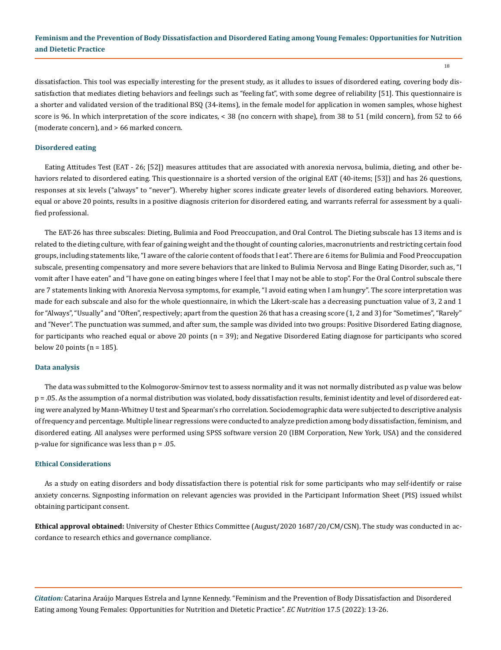18

dissatisfaction. This tool was especially interesting for the present study, as it alludes to issues of disordered eating, covering body dissatisfaction that mediates dieting behaviors and feelings such as "feeling fat", with some degree of reliability [51]. This questionnaire is a shorter and validated version of the traditional BSQ (34-items), in the female model for application in women samples, whose highest score is 96. In which interpretation of the score indicates, < 38 (no concern with shape), from 38 to 51 (mild concern), from 52 to 66 (moderate concern), and > 66 marked concern.

#### **Disordered eating**

Eating Attitudes Test (EAT - 26; [52]) measures attitudes that are associated with anorexia nervosa, bulimia, dieting, and other behaviors related to disordered eating. This questionnaire is a shorted version of the original EAT (40-items; [53]) and has 26 questions, responses at six levels ("always" to "never"). Whereby higher scores indicate greater levels of disordered eating behaviors. Moreover, equal or above 20 points, results in a positive diagnosis criterion for disordered eating, and warrants referral for assessment by a qualified professional.

The EAT-26 has three subscales: Dieting, Bulimia and Food Preoccupation, and Oral Control. The Dieting subscale has 13 items and is related to the dieting culture, with fear of gaining weight and the thought of counting calories, macronutrients and restricting certain food groups, including statements like, "I aware of the calorie content of foods that I eat". There are 6 items for Bulimia and Food Preoccupation subscale, presenting compensatory and more severe behaviors that are linked to Bulimia Nervosa and Binge Eating Disorder, such as, "I vomit after I have eaten" and "I have gone on eating binges where I feel that I may not be able to stop". For the Oral Control subscale there are 7 statements linking with Anorexia Nervosa symptoms, for example, "I avoid eating when I am hungry". The score interpretation was made for each subscale and also for the whole questionnaire, in which the Likert-scale has a decreasing punctuation value of 3, 2 and 1 for "Always", "Usually" and "Often", respectively; apart from the question 26 that has a creasing score (1, 2 and 3) for "Sometimes", "Rarely" and "Never". The punctuation was summed, and after sum, the sample was divided into two groups: Positive Disordered Eating diagnose, for participants who reached equal or above 20 points (n = 39); and Negative Disordered Eating diagnose for participants who scored below 20 points ( $n = 185$ ).

#### **Data analysis**

The data was submitted to the Kolmogorov-Smirnov test to assess normality and it was not normally distributed as p value was below p = .05. As the assumption of a normal distribution was violated, body dissatisfaction results, feminist identity and level of disordered eating were analyzed by Mann-Whitney U test and Spearman's rho correlation. Sociodemographic data were subjected to descriptive analysis of frequency and percentage. Multiple linear regressions were conducted to analyze prediction among body dissatisfaction, feminism, and disordered eating. All analyses were performed using SPSS software version 20 (IBM Corporation, New York, USA) and the considered p-value for significance was less than p = .05.

### **Ethical Considerations**

As a study on eating disorders and body dissatisfaction there is potential risk for some participants who may self-identify or raise anxiety concerns. Signposting information on relevant agencies was provided in the Participant Information Sheet (PIS) issued whilst obtaining participant consent.

**Ethical approval obtained:** University of Chester Ethics Committee (August/2020 1687/20/CM/CSN). The study was conducted in accordance to research ethics and governance compliance.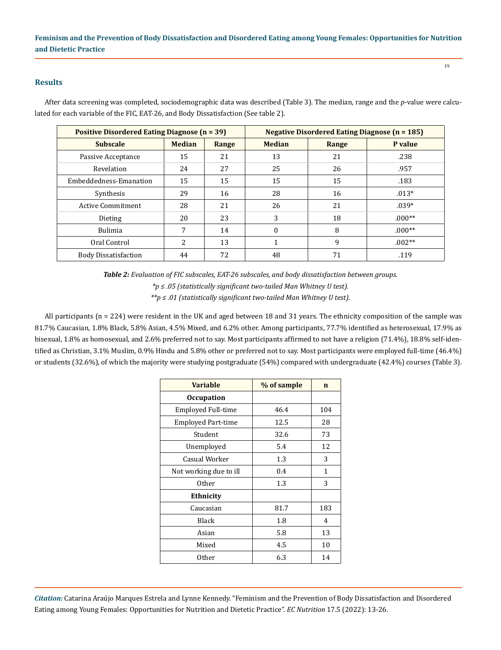### **Results**

After data screening was completed, sociodemographic data was described (Table 3). The median, range and the *p*-value were calculated for each variable of the FIC, EAT-26, and Body Dissatisfaction (See table 2).

| <b>Positive Disordered Eating Diagnose (n = 39)</b> |               |       | <b>Negative Disordered Eating Diagnose (n = 185)</b> |       |          |  |
|-----------------------------------------------------|---------------|-------|------------------------------------------------------|-------|----------|--|
| <b>Subscale</b>                                     | <b>Median</b> | Range | <b>Median</b>                                        | Range | P value  |  |
| Passive Acceptance                                  | 15            | 21    | 13                                                   | 21    | .238     |  |
| Revelation                                          | 24            | 27    | 25                                                   | 26    | .957     |  |
| Embeddedness-Emanation                              | 15            | 15    | 15                                                   | 15    | .183     |  |
| Synthesis                                           | 29            | 16    | 28                                                   | 16    | $.013*$  |  |
| <b>Active Commitment</b>                            | 28            | 21    | 26                                                   | 21    | $.039*$  |  |
| Dieting                                             | 20            | 23    | 3                                                    | 18    | $.000**$ |  |
| <b>Bulimia</b>                                      | 7             | 14    | $\Omega$                                             | 8     | $.000**$ |  |
| Oral Control                                        | 2             | 13    | 1                                                    | 9     | $.002**$ |  |
| <b>Body Dissatisfaction</b>                         | 44            | 72    | 48                                                   | 71    | .119     |  |

*Table 2: Evaluation of FIC subscales, EAT-26 subscales, and body dissatisfaction between groups.*

*\*p ≤ .05 (statistically significant two-tailed Man Whitney U test).*

*\*\*p ≤ .01 (statistically significant two-tailed Man Whitney U test).*

All participants (n = 224) were resident in the UK and aged between 18 and 31 years. The ethnicity composition of the sample was 81.7% Caucasian, 1.8% Black, 5.8% Asian, 4.5% Mixed, and 6.2% other. Among participants, 77.7% identified as heterosexual, 17.9% as bisexual, 1.8% as homosexual, and 2.6% preferred not to say. Most participants affirmed to not have a religion (71.4%), 18.8% self-identified as Christian, 3.1% Muslim, 0.9% Hindu and 5.8% other or preferred not to say. Most participants were employed full-time (46.4%) or students (32.6%), of which the majority were studying postgraduate (54%) compared with undergraduate (42.4%) courses (Table 3).

| <b>Variable</b>           | % of sample | n   |
|---------------------------|-------------|-----|
| <b>Occupation</b>         |             |     |
| Employed Full-time        | 46.4        | 104 |
| <b>Employed Part-time</b> | 12.5        | 28  |
| Student                   | 32.6        | 73  |
| Unemployed                | 5.4         | 12  |
| Casual Worker             | 1.3         | 3   |
| Not working due to ill    | 0.4         | 1   |
| 0ther                     | 1.3         | 3   |
| Ethnicity                 |             |     |
| Caucasian                 | 81.7        | 183 |
| Black                     | 1.8         | 4   |
| Asian                     | 5.8         | 13  |
| Mixed                     | 4.5         | 10  |
| 0ther                     | 6.3         | 14  |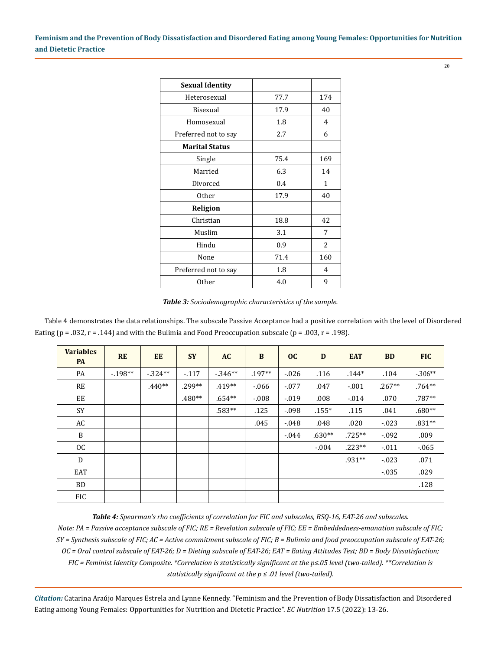20

| <b>Sexual Identity</b> |      |     |
|------------------------|------|-----|
| Heterosexual           | 77.7 | 174 |
| Bisexual               | 17.9 | 40  |
| Homosexual             | 1.8  | 4   |
| Preferred not to say   | 2.7  | 6   |
| <b>Marital Status</b>  |      |     |
| Single                 | 75.4 | 169 |
| Married                | 6.3  | 14  |
| Divorced               | 0.4  | 1   |
| <b>Other</b>           | 17.9 | 40  |
| Religion               |      |     |
| Christian              | 18.8 | 42  |
| Muslim                 | 3.1  | 7   |
| Hindu                  | 0.9  | 2   |
| None                   | 71.4 | 160 |
| Preferred not to say   | 1.8  | 4   |
| <b>Other</b>           | 4.0  | 9   |

*Table 3: Sociodemographic characteristics of the sample.*

Table 4 demonstrates the data relationships. The subscale Passive Acceptance had a positive correlation with the level of Disordered Eating ( $p = .032$ ,  $r = .144$ ) and with the Bulimia and Food Preoccupation subscale ( $p = .003$ ,  $r = .198$ ).

| <b>Variables</b><br><b>PA</b> | <b>RE</b> | <b>EE</b> | <b>SY</b> | <b>AC</b> | $\bf{B}$ | oc       | D        | <b>EAT</b> | <b>BD</b> | <b>FIC</b> |
|-------------------------------|-----------|-----------|-----------|-----------|----------|----------|----------|------------|-----------|------------|
| PA                            | $-198**$  | $-.324**$ | $-117$    | $-346**$  | $.197**$ | $-0.026$ | .116     | $.144*$    | .104      | $-306**$   |
| RE                            |           | $.440**$  | .299**    | $.419**$  | $-0.066$ | $-.077$  | .047     | $-.001$    | $.267**$  | $.764**$   |
| EE                            |           |           | $.480**$  | $.654**$  | $-0.08$  | $-.019$  | .008     | $-0.014$   | .070      | .787**     |
| <b>SY</b>                     |           |           |           | $.583**$  | .125     | $-0.098$ | $.155*$  | .115       | .041      | $.680**$   |
| AC                            |           |           |           |           | .045     | $-0.048$ | .048     | .020       | $-.023$   | $.831**$   |
| B                             |           |           |           |           |          | $-0.044$ | $.630**$ | $.725**$   | $-0.092$  | .009       |
| OC                            |           |           |           |           |          |          | $-.004$  | $.223**$   | $-011$    | $-065$     |
| D                             |           |           |           |           |          |          |          | $.931**$   | $-0.023$  | .071       |
| EAT                           |           |           |           |           |          |          |          |            | $-0.35$   | .029       |
| <b>BD</b>                     |           |           |           |           |          |          |          |            |           | .128       |
| <b>FIC</b>                    |           |           |           |           |          |          |          |            |           |            |

*Table 4: Spearman's rho coefficients of correlation for FIC and subscales, BSQ-16, EAT-26 and subscales.*

*Note: PA = Passive acceptance subscale of FIC; RE = Revelation subscale of FIC; EE = Embeddedness-emanation subscale of FIC; SY = Synthesis subscale of FIC; AC = Active commitment subscale of FIC; B = Bulimia and food preoccupation subscale of EAT-26; OC = Oral control subscale of EAT-26; D = Dieting subscale of EAT-26; EAT = Eating Attitudes Test; BD = Body Dissatisfaction; FIC = Feminist Identity Composite. \*Correlation is statistically significant at the p≤.05 level (two-tailed). \*\*Correlation is statistically significant at the p ≤ .01 level (two-tailed).*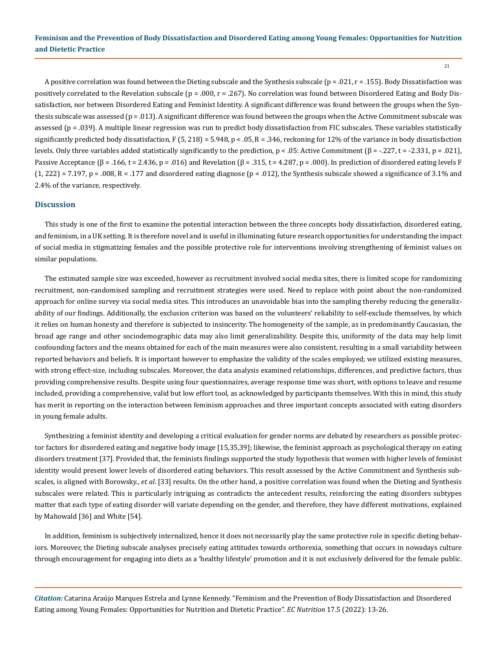$21$ 

A positive correlation was found between the Dieting subscale and the Synthesis subscale ( $p = .021$ ,  $r = .155$ ). Body Dissatisfaction was positively correlated to the Revelation subscale (p = .000, r = .267). No correlation was found between Disordered Eating and Body Dissatisfaction, nor between Disordered Eating and Feminist Identity. A significant difference was found between the groups when the Synthesis subscale was assessed (p = .013). A significant difference was found between the groups when the Active Commitment subscale was assessed (p = .039). A multiple linear regression was run to predict body dissatisfaction from FIC subscales. These variables statistically significantly predicted body dissatisfaction, F (5, 218) = 5.948, p < .05, R = .346, reckoning for 12% of the variance in body dissatisfaction levels. Only three variables added statistically significantly to the prediction, p < .05: Active Commitment (β = -.227, t = -2.331, p = .021), Passive Acceptance  $(\beta = .166, t = 2.436, p = .016)$  and Revelation  $(\beta = .315, t = 4.287, p = .000)$ . In prediction of disordered eating levels F  $(1, 222)$  = 7.197, p = .008, R = .177 and disordered eating diagnose (p = .012), the Synthesis subscale showed a significance of 3.1% and 2.4% of the variance, respectively.

### **Discussion**

This study is one of the first to examine the potential interaction between the three concepts body dissatisfaction, disordered eating, and feminism, in a UK setting. It is therefore novel and is useful in illuminating future research opportunities for understanding the impact of social media in stigmatizing females and the possible protective role for interventions involving strengthening of feminist values on similar populations.

The estimated sample size was exceeded, however as recruitment involved social media sites, there is limited scope for randomizing recruitment, non-randomised sampling and recruitment strategies were used. Need to replace with point about the non-randomized approach for online survey via social media sites. This introduces an unavoidable bias into the sampling thereby reducing the generalizability of our findings. Additionally, the exclusion criterion was based on the volunteers' reliability to self-exclude themselves, by which it relies on human honesty and therefore is subjected to insincerity. The homogeneity of the sample, as in predominantly Caucasian, the broad age range and other sociodemographic data may also limit generalizability. Despite this, uniformity of the data may help limit confounding factors and the means obtained for each of the main measures were also consistent, resulting in a small variability between reported behaviors and beliefs. It is important however to emphasize the validity of the scales employed; we utilized existing measures, with strong effect-size, including subscales. Moreover, the data analysis examined relationships, differences, and predictive factors, thus providing comprehensive results. Despite using four questionnaires, average response time was short, with options to leave and resume included, providing a comprehensive, valid but low effort tool, as acknowledged by participants themselves. With this in mind, this study has merit in reporting on the interaction between feminism approaches and three important concepts associated with eating disorders in young female adults.

Synthesizing a feminist identity and developing a critical evaluation for gender norms are debated by researchers as possible protector factors for disordered eating and negative body image [15,35,39]; likewise, the feminist approach as psychological therapy on eating disorders treatment [37]. Provided that, the feminists findings supported the study hypothesis that women with higher levels of feminist identity would present lower levels of disordered eating behaviors. This result assessed by the Active Commitment and Synthesis subscales, is aligned with Borowsky., *et al*. [33] results. On the other hand, a positive correlation was found when the Dieting and Synthesis subscales were related. This is particularly intriguing as contradicts the antecedent results, reinforcing the eating disorders subtypes matter that each type of eating disorder will variate depending on the gender, and therefore, they have different motivations, explained by Mahowald [36] and White [54].

In addition, feminism is subjectively internalized, hence it does not necessarily play the same protective role in specific dieting behaviors. Moreover, the Dieting subscale analyses precisely eating attitudes towards orthorexia, something that occurs in nowadays culture through encouragement for engaging into diets as a 'healthy lifestyle' promotion and it is not exclusively delivered for the female public.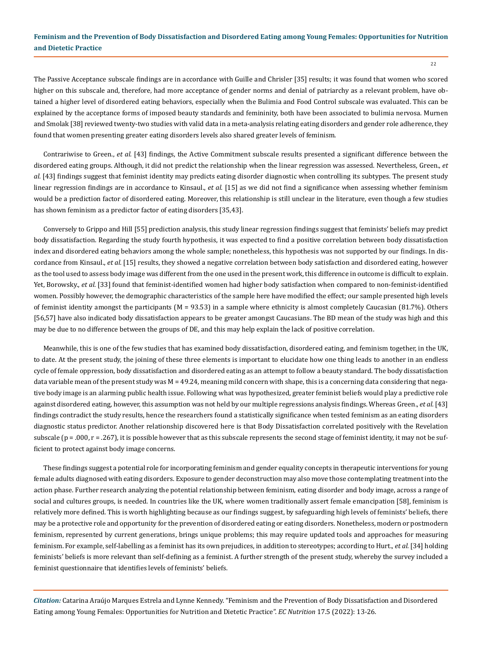$22$ 

The Passive Acceptance subscale findings are in accordance with Guille and Chrisler [35] results; it was found that women who scored higher on this subscale and, therefore, had more acceptance of gender norms and denial of patriarchy as a relevant problem, have obtained a higher level of disordered eating behaviors, especially when the Bulimia and Food Control subscale was evaluated. This can be explained by the acceptance forms of imposed beauty standards and femininity, both have been associated to bulimia nervosa. Murnen and Smolak [38] reviewed twenty-two studies with valid data in a meta-analysis relating eating disorders and gender role adherence, they found that women presenting greater eating disorders levels also shared greater levels of feminism.

Contrariwise to Green., *et al.* [43] findings, the Active Commitment subscale results presented a significant difference between the disordered eating groups. Although, it did not predict the relationship when the linear regression was assessed. Nevertheless, Green., *et al.* [43] findings suggest that feminist identity may predicts eating disorder diagnostic when controlling its subtypes. The present study linear regression findings are in accordance to Kinsaul., *et al.* [15] as we did not find a significance when assessing whether feminism would be a prediction factor of disordered eating. Moreover, this relationship is still unclear in the literature, even though a few studies has shown feminism as a predictor factor of eating disorders [35,43].

Conversely to Grippo and Hill [55] prediction analysis, this study linear regression findings suggest that feminists' beliefs may predict body dissatisfaction. Regarding the study fourth hypothesis, it was expected to find a positive correlation between body dissatisfaction index and disordered eating behaviors among the whole sample; nonetheless, this hypothesis was not supported by our findings. In discordance from Kinsaul., *et al.* [15] results, they showed a negative correlation between body satisfaction and disordered eating, however as the tool used to assess body image was different from the one used in the present work, this difference in outcome is difficult to explain. Yet, Borowsky., *et al.* [33] found that feminist-identified women had higher body satisfaction when compared to non-feminist-identified women. Possibly however, the demographic characteristics of the sample here have modified the effect; our sample presented high levels of feminist identity amongst the participants (M = 93.53) in a sample where ethnicity is almost completely Caucasian (81.7%). Others [56,57] have also indicated body dissatisfaction appears to be greater amongst Caucasians. The BD mean of the study was high and this may be due to no difference between the groups of DE, and this may help explain the lack of positive correlation.

Meanwhile, this is one of the few studies that has examined body dissatisfaction, disordered eating, and feminism together, in the UK, to date. At the present study, the joining of these three elements is important to elucidate how one thing leads to another in an endless cycle of female oppression, body dissatisfaction and disordered eating as an attempt to follow a beauty standard. The body dissatisfaction data variable mean of the present study was M = 49.24, meaning mild concern with shape, this is a concerning data considering that negative body image is an alarming public health issue. Following what was hypothesized, greater feminist beliefs would play a predictive role against disordered eating, however, this assumption was not held by our multiple regressions analysis findings. Whereas Green., *et al.* [43] findings contradict the study results, hence the researchers found a statistically significance when tested feminism as an eating disorders diagnostic status predictor. Another relationship discovered here is that Body Dissatisfaction correlated positively with the Revelation subscale ( $p = .000$ ,  $r = .267$ ), it is possible however that as this subscale represents the second stage of feminist identity, it may not be sufficient to protect against body image concerns.

These findings suggest a potential role for incorporating feminism and gender equality concepts in therapeutic interventions for young female adults diagnosed with eating disorders. Exposure to gender deconstruction may also move those contemplating treatment into the action phase. Further research analyzing the potential relationship between feminism, eating disorder and body image, across a range of social and cultures groups, is needed. In countries like the UK, where women traditionally assert female emancipation [58], feminism is relatively more defined. This is worth highlighting because as our findings suggest, by safeguarding high levels of feminists' beliefs, there may be a protective role and opportunity for the prevention of disordered eating or eating disorders. Nonetheless, modern or postmodern feminism, represented by current generations, brings unique problems; this may require updated tools and approaches for measuring feminism. For example, self-labelling as a feminist has its own prejudices, in addition to stereotypes; according to Hurt., *et al.* [34] holding feminists' beliefs is more relevant than self-defining as a feminist. A further strength of the present study, whereby the survey included a feminist questionnaire that identifies levels of feminists' beliefs.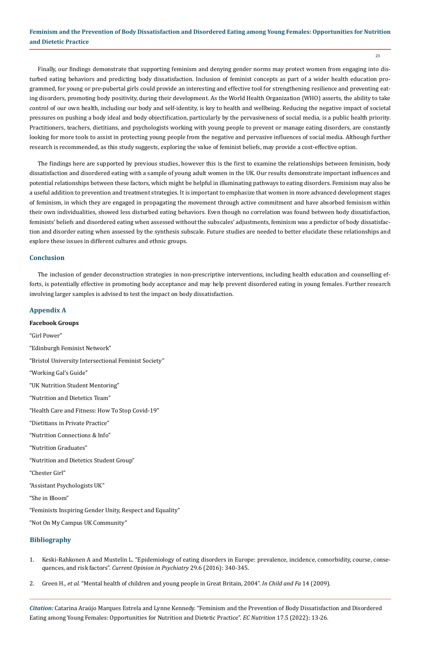$23$ 

Finally, our findings demonstrate that supporting feminism and denying gender norms may protect women from engaging into disturbed eating behaviors and predicting body dissatisfaction. Inclusion of feminist concepts as part of a wider health education programmed, for young or pre-pubertal girls could provide an interesting and effective tool for strengthening resilience and preventing eating disorders, promoting body positivity, during their development. As the World Health Organization (WHO) asserts, the ability to take control of our own health, including our body and self-identity, is key to health and wellbeing. Reducing the negative impact of societal pressures on pushing a body ideal and body objectification, particularly by the pervasiveness of social media, is a public health priority. Practitioners, teachers, dietitians, and psychologists working with young people to prevent or manage eating disorders, are constantly looking for more tools to assist in protecting young people from the negative and pervasive influences of social media. Although further research is recommended, as this study suggests, exploring the value of feminist beliefs, may provide a cost-effective option.

The findings here are supported by previous studies, however this is the first to examine the relationships between feminism, body dissatisfaction and disordered eating with a sample of young adult women in the UK. Our results demonstrate important influences and potential relationships between these factors, which might be helpful in illuminating pathways to eating disorders. Feminism may also be a useful addition to prevention and treatment strategies. It is important to emphasize that women in more advanced development stages of feminism, in which they are engaged in propagating the movement through active commitment and have absorbed feminism within their own individualities, showed less disturbed eating behaviors. Even though no correlation was found between body dissatisfaction, feminists' beliefs and disordered eating when assessed without the subscales' adjustments, feminism was a predictor of body dissatisfaction and disorder eating when assessed by the synthesis subscale. Future studies are needed to better elucidate these relationships and explore these issues in different cultures and ethnic groups.

# **Conclusion**

The inclusion of gender deconstruction strategies in non-prescriptive interventions, including health education and counselling efforts, is potentially effective in promoting body acceptance and may help prevent disordered eating in young females. Further research involving larger samples is advised to test the impact on body dissatisfaction.

# **Appendix A**

**Facebook Groups** "Girl Power" "Edinburgh Feminist Network" "Bristol University Intersectional Feminist Society" "Working Gal's Guide" "UK Nutrition Student Mentoring" "Nutrition and Dietetics Team" "Health Care and Fitness: How To Stop Covid-19" "Dietitians in Private Practice" "Nutrition Connections & Info" "Nutrition Graduates" "Nutrition and Dietetics Student Group" "Chester Girl" "Assistant Psychologists UK" "She in Bloom" "Feminists Inspiring Gender Unity, Respect and Equality" "Not On My Campus UK Community"

# **Bibliography**

- 1. [Keski-Rahkonen A and Mustelin L. "Epidemiology of eating disorders in Europe: prevalence, incidence, comorbidity, course, conse](https://pubmed.ncbi.nlm.nih.gov/27662598/)quences, and risk factors". *[Current Opinion in Psychiatry](https://pubmed.ncbi.nlm.nih.gov/27662598/)* 29.6 (2016): 340-345.
- 2. Green H., *et al*[. "Mental health of children and young people in Great Britain, 2004".](https://digital.nhs.uk/data-and-information/publications/statistical/mental-health-of-children-and-young-people-in-england/mental-health-of-children-and-young-people-in-great-britain-2004) *In Child and Fa* 14 (2009).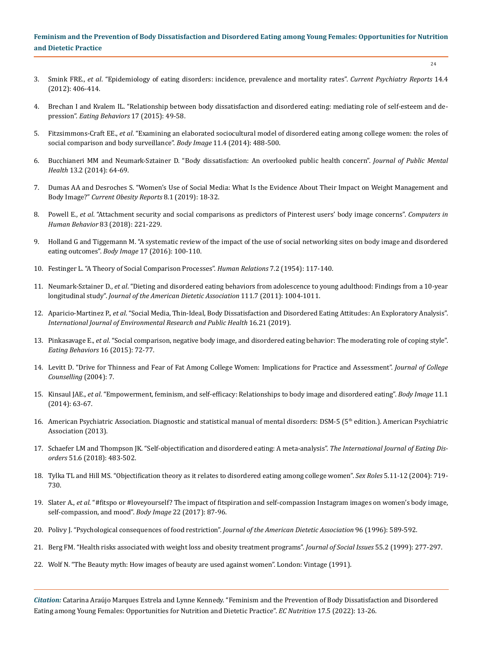$24$ 

- 3. Smink FRE., *et al*[. "Epidemiology of eating disorders: incidence, prevalence and mortality rates".](https://pubmed.ncbi.nlm.nih.gov/22644309/) *Current Psychiatry Reports* 14.4 [\(2012\): 406-414.](https://pubmed.ncbi.nlm.nih.gov/22644309/)
- 4. [Brechan I and Kvalem IL. "Relationship between body dissatisfaction and disordered eating: mediating role of self-esteem and de](https://pubmed.ncbi.nlm.nih.gov/25574864/)pression". *[Eating Behaviors](https://pubmed.ncbi.nlm.nih.gov/25574864/)* 17 (2015): 49-58.
- 5. Fitzsimmons-Craft EE., *et al*[. "Examining an elaborated sociocultural model of disordered eating among college women: the roles of](https://www.ncbi.nlm.nih.gov/pmc/articles/PMC4250339/) [social comparison and body surveillance".](https://www.ncbi.nlm.nih.gov/pmc/articles/PMC4250339/) *Body Image* 11.4 (2014): 488-500.
- 6. [Bucchianeri MM and Neumark-Sztainer D. "Body dissatisfaction: An overlooked public health concern".](https://psycnet.apa.org/record/2014-25063-001) *Journal of Public Mental Health* [13.2 \(2014\): 64-69.](https://psycnet.apa.org/record/2014-25063-001)
- 7. [Dumas AA and Desroches S. "Women's Use of Social Media: What Is the Evidence About Their Impact on Weight Management and](https://pubmed.ncbi.nlm.nih.gov/30666619/) Body Image?" *[Current Obesity Reports](https://pubmed.ncbi.nlm.nih.gov/30666619/)* 8.1 (2019): 18-32.
- 8. Powell E., *et al*[. "Attachment security and social comparisons as predictors of Pinterest users' body image concerns".](https://www.sciencedirect.com/science/article/abs/pii/S0747563218300451) *Computers in Human Behavior* [83 \(2018\): 221-229.](https://www.sciencedirect.com/science/article/abs/pii/S0747563218300451)
- 9. [Holland G and Tiggemann M. "A systematic review of the impact of the use of social networking sites on body image and disordered](https://www.sciencedirect.com/science/article/abs/pii/S1740144516300912) eating outcomes". *Body Image* [17 \(2016\): 100-110.](https://www.sciencedirect.com/science/article/abs/pii/S1740144516300912)
- 10. [Festinger L. "A Theory of Social Comparison Processes".](https://journals.sagepub.com/doi/10.1177/001872675400700202) *Human Relations* 7.2 (1954): 117-140.
- 11. Neumark-Sztainer D., *et al*[. "Dieting and disordered eating behaviors from adolescence to young adulthood: Findings from a 10-year](https://pubmed.ncbi.nlm.nih.gov/21703378/) longitudinal study". *[Journal of the American Dietetic Association](https://pubmed.ncbi.nlm.nih.gov/21703378/)* 111.7 (2011): 1004-1011.
- 12. Aparicio-Martinez P., *et al*[. "Social Media, Thin-Ideal, Body Dissatisfaction and Disordered Eating Attitudes: An Exploratory Analysis".](https://pubmed.ncbi.nlm.nih.gov/31671857/) *[International Journal of Environmental Research and Public Health](https://pubmed.ncbi.nlm.nih.gov/31671857/)* 16.21 (2019).
- 13. Pinkasavage E., *et al*[. "Social comparison, negative body image, and disordered eating behavior: The moderating role of coping style".](https://pubmed.ncbi.nlm.nih.gov/25464070/) *[Eating Behaviors](https://pubmed.ncbi.nlm.nih.gov/25464070/)* 16 (2015): 72-77.
- 14. [Levitt D. "Drive for Thinness and Fear of Fat Among College Women: Implications for Practice and Assessment".](https://psycnet.apa.org/record/2004-21952-002) *Journal of College [Counselling](https://psycnet.apa.org/record/2004-21952-002)* (2004): 7.
- 15. Kinsaul JAE., *et al*[. "Empowerment, feminism, and self-efficacy: Relationships to body image and disordered eating".](https://pubmed.ncbi.nlm.nih.gov/24018338/) *Body Image* 11.1 [\(2014\): 63-67.](https://pubmed.ncbi.nlm.nih.gov/24018338/)
- 16. American Psychiatric Association. Diagnostic and statistical manual of mental disorders: DSM-5 (5<sup>th</sup> edition.). American Psychiatric [Association \(2013\).](https://www.psychiatry.org/psychiatrists/practice/dsm)
- 17. [Schaefer LM and Thompson JK. "Self-objectification and disordered eating: A meta-analysis".](https://pubmed.ncbi.nlm.nih.gov/29517805/) *The International Journal of Eating Disorders* [51.6 \(2018\): 483-502.](https://pubmed.ncbi.nlm.nih.gov/29517805/)
- 18. [Tylka TL and Hill MS. "Objectification theory as it relates to disordered eating among college women".](https://www.researchgate.net/publication/226325305_Objectification_Theory_as_It_Relates_to_Disordered_Eating_Among_College_Women) *Sex Roles* 5.11-12 (2004): 719- [730.](https://www.researchgate.net/publication/226325305_Objectification_Theory_as_It_Relates_to_Disordered_Eating_Among_College_Women)
- 19. Slater A., *et al*[. "#fitspo or #loveyourself? The impact of fitspiration and self-compassion Instagram images on women's body image,](https://www.sciencedirect.com/science/article/abs/pii/S1740144516305265) [self-compassion, and mood".](https://www.sciencedirect.com/science/article/abs/pii/S1740144516305265) *Body Image* 22 (2017): 87-96.
- 20. [Polivy J. "Psychological consequences of food restriction".](https://pubmed.ncbi.nlm.nih.gov/8655907/) *Journal of the American Dietetic Association* 96 (1996): 589-592.
- 21. [Berg FM. "Health risks associated with weight loss and obesity treatment programs".](https://spssi.onlinelibrary.wiley.com/doi/abs/10.1111/0022-4537.00116) *Journal of Social Issues* 55.2 (1999): 277-297.
- 22. Wolf N. "The Beauty myth: How images of beauty are used against women". London: Vintage (1991).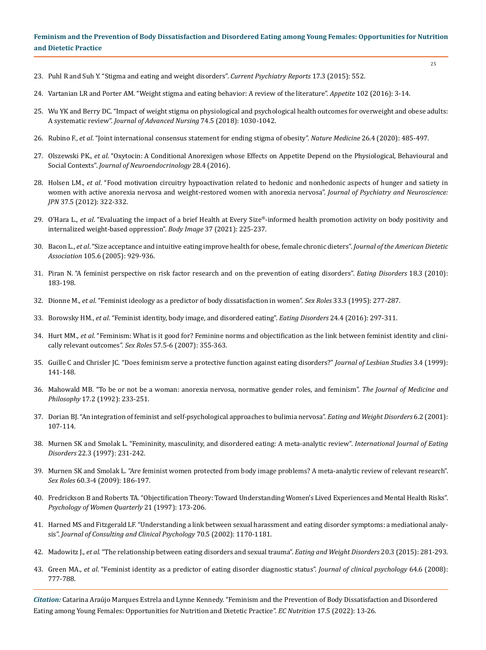- 23. [Puhl R and Suh Y. "Stigma and eating and weight disorders".](https://pubmed.ncbi.nlm.nih.gov/25652251/) *Current Psychiatry Reports* 17.3 (2015): 552.
- 24. [Vartanian LR and Porter AM. "Weight stigma and eating behavior: A review of the literature".](https://pubmed.ncbi.nlm.nih.gov/26829371/) *Appetite* 102 (2016): 3-14.
- 25. [Wu YK and Berry DC. "Impact of weight stigma on physiological and psychological health outcomes for overweight and obese adults:](https://pubmed.ncbi.nlm.nih.gov/29171076/) A systematic review". *[Journal of Advanced Nursing](https://pubmed.ncbi.nlm.nih.gov/29171076/)* 74.5 (2018): 1030-1042.
- 26. Rubino F., *et al*[. "Joint international consensus statement for ending stigma of obesity".](https://pubmed.ncbi.nlm.nih.gov/32127716/) *Nature Medicine* 26.4 (2020): 485-497.
- 27. Olszewski PK., *et al*[. "Oxytocin: A Conditional Anorexigen whose Effects on Appetite Depend on the Physiological, Behavioural and](https://pubmed.ncbi.nlm.nih.gov/26918919/) Social Contexts". *[Journal of Neuroendocrinology](https://pubmed.ncbi.nlm.nih.gov/26918919/)* 28.4 (2016).
- 28. Holsen LM., *et al*[. "Food motivation circuitry hypoactivation related to hedonic and nonhedonic aspects of hunger and satiety in](https://pubmed.ncbi.nlm.nih.gov/22498079/) [women with active anorexia nervosa and weight-restored women with anorexia nervosa".](https://pubmed.ncbi.nlm.nih.gov/22498079/) *Journal of Psychiatry and Neuroscience: JPN* [37.5 \(2012\): 322-332.](https://pubmed.ncbi.nlm.nih.gov/22498079/)
- 29. O'Hara L., *et al*[. "Evaluating the impact of a brief Health at Every Size®-informed health promotion activity on body positivity and](https://www.sciencedirect.com/science/article/pii/S1740144521000279) [internalized weight-based oppression".](https://www.sciencedirect.com/science/article/pii/S1740144521000279) *Body Image* 37 (2021): 225-237.
- 30. Bacon L., *et al*[. "Size acceptance and intuitive eating improve health for obese, female chronic dieters".](https://pubmed.ncbi.nlm.nih.gov/15942543/) *Journal of the American Dietetic Association* [105.6 \(2005\): 929-936.](https://pubmed.ncbi.nlm.nih.gov/15942543/)
- 31. [Piran N. "A feminist perspective on risk factor research and on the prevention of eating disorders".](https://pubmed.ncbi.nlm.nih.gov/20419523/) *Eating Disorders* 18.3 (2010): [183-198.](https://pubmed.ncbi.nlm.nih.gov/20419523/)
- 32. Dionne M., *et al*[. "Feminist ideology as a predictor of body dissatisfaction in women".](https://psycnet.apa.org/record/1996-22770-001) *Sex Roles* 33.3 (1995): 277-287.
- 33. Borowsky HM., *et al*[. "Feminist identity, body image, and disordered eating".](https://www.ncbi.nlm.nih.gov/pmc/articles/PMC4999297/) *Eating Disorders* 24.4 (2016): 297-311.
- 34. Hurt MM., *et al*[. "Feminism: What is it good for? Feminine norms and objectification as the link between feminist identity and clini](https://link.springer.com/article/10.1007/s11199-007-9272-7)[cally relevant outcomes".](https://link.springer.com/article/10.1007/s11199-007-9272-7) *Sex Roles* 57.5-6 (2007): 355-363.
- 35. [Guille C and Chrisler JC. "Does feminism serve a protective function against eating disorders?"](https://www.researchgate.net/publication/262018276_Does_Feminism_Serve_a_Protective_Function_Against_Eating_Disorders) *Journal of Lesbian Studies* 3.4 (1999): [141-148.](https://www.researchgate.net/publication/262018276_Does_Feminism_Serve_a_Protective_Function_Against_Eating_Disorders)
- 36. [Mahowald MB. "To be or not be a woman: anorexia nervosa, normative gender roles, and feminism".](https://pubmed.ncbi.nlm.nih.gov/1588246/) *The Journal of Medicine and Philosophy* [17.2 \(1992\): 233-251.](https://pubmed.ncbi.nlm.nih.gov/1588246/)
- 37. [Dorian BJ. "An integration of feminist and self-psychological approaches to bulimia nervosa".](https://link.springer.com/article/10.1007/BF03339759) *Eating and Weight Disorders* 6.2 (2001): [107-114.](https://link.springer.com/article/10.1007/BF03339759)
- 38. [Murnen SK and Smolak L. "Femininity, masculinity, and disordered eating: A meta-analytic review".](https://pubmed.ncbi.nlm.nih.gov/9285260/) *International Journal of Eating Disorders* [22.3 \(1997\): 231-242.](https://pubmed.ncbi.nlm.nih.gov/9285260/)
- 39. [Murnen SK and Smolak L. "Are feminist women protected from body image problems? A meta-analytic review of relevant research".](https://www.researchgate.net/publication/227260477_Are_Feminist_Women_Protected_from_Body_Image_Problems_A_Meta-analytic_Review_of_Relevant_Research) *Sex Roles* [60.3-4 \(2009\): 186-197.](https://www.researchgate.net/publication/227260477_Are_Feminist_Women_Protected_from_Body_Image_Problems_A_Meta-analytic_Review_of_Relevant_Research)
- 40. [Fredrickson B and Roberts TA. "Objectification Theory: Toward Understanding Women's Lived Experiences and Mental Health Risks".](https://journals.sagepub.com/doi/10.1111/j.1471-6402.1997.tb00108.x) *[Psychology of Women Quarterly](https://journals.sagepub.com/doi/10.1111/j.1471-6402.1997.tb00108.x)* 21 (1997): 173-206.
- 41. [Harned MS and Fitzgerald LF. "Understanding a link between sexual harassment and eating disorder symptoms: a mediational analy](https://pubmed.ncbi.nlm.nih.gov/12362967/)sis". *[Journal of Consulting and Clinical Psychology](https://pubmed.ncbi.nlm.nih.gov/12362967/)* 70.5 (2002): 1170-1181.
- 42. Madowitz J., *et al*[. "The relationship between eating disorders and sexual trauma".](https://pubmed.ncbi.nlm.nih.gov/25976911/) *Eating and Weight Disorders* 20.3 (2015): 281-293.
- 43. Green MA., *et al*[. "Feminist identity as a predictor of eating disorder diagnostic status".](https://pubmed.ncbi.nlm.nih.gov/18425791/) *Journal of clinical psychology* 64.6 (2008): [777-788.](https://pubmed.ncbi.nlm.nih.gov/18425791/)